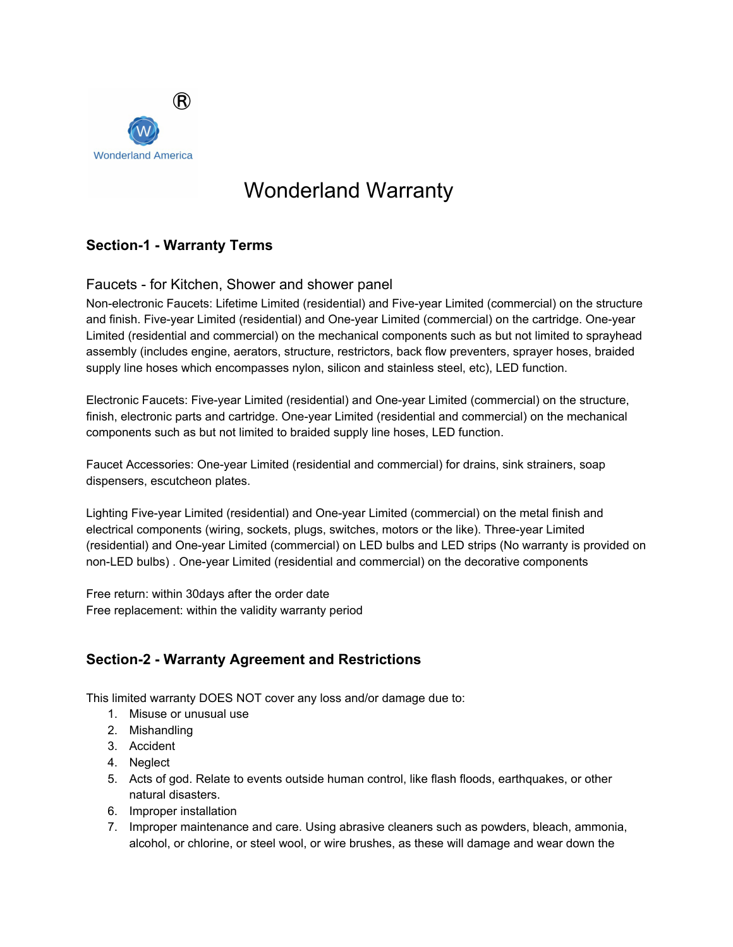

# Wonderland Warranty

# **Section-1 - Warranty Terms**

### Faucets - for Kitchen, Shower and shower panel

Non-electronic Faucets: Lifetime Limited (residential) and Five-year Limited (commercial) on the structure and finish. Five-year Limited (residential) and One-year Limited (commercial) on the cartridge. One-year Limited (residential and commercial) on the mechanical components such as but not limited to sprayhead assembly (includes engine, aerators, structure, restrictors, back flow preventers, sprayer hoses, braided supply line hoses which encompasses nylon, silicon and stainless steel, etc), LED function.

Electronic Faucets: Five-year Limited (residential) and One-year Limited (commercial) on the structure, finish, electronic parts and cartridge. One-year Limited (residential and commercial) on the mechanical components such as but not limited to braided supply line hoses, LED function.

Faucet Accessories: One-year Limited (residential and commercial) for drains, sink strainers, soap dispensers, escutcheon plates.

Lighting Five-year Limited (residential) and One-year Limited (commercial) on the metal finish and electrical components (wiring, sockets, plugs, switches, motors or the like). Three-year Limited (residential) and One-year Limited (commercial) on LED bulbs and LED strips (No warranty is provided on non-LED bulbs) . One-year Limited (residential and commercial) on the decorative components

Free return: within 30days after the order date Free replacement: within the validity warranty period

# **Section-2 - Warranty Agreement and Restrictions**

This limited warranty DOES NOT cover any loss and/or damage due to:

- 1. Misuse or unusual use
- 2. Mishandling
- 3. Accident
- 4. Neglect
- 5. Acts of god. Relate to events outside human control, like flash floods, earthquakes, or other natural disasters.
- 6. Improper installation
- 7. Improper maintenance and care. Using abrasive cleaners such as powders, bleach, ammonia, alcohol, or chlorine, or steel wool, or wire brushes, as these will damage and wear down the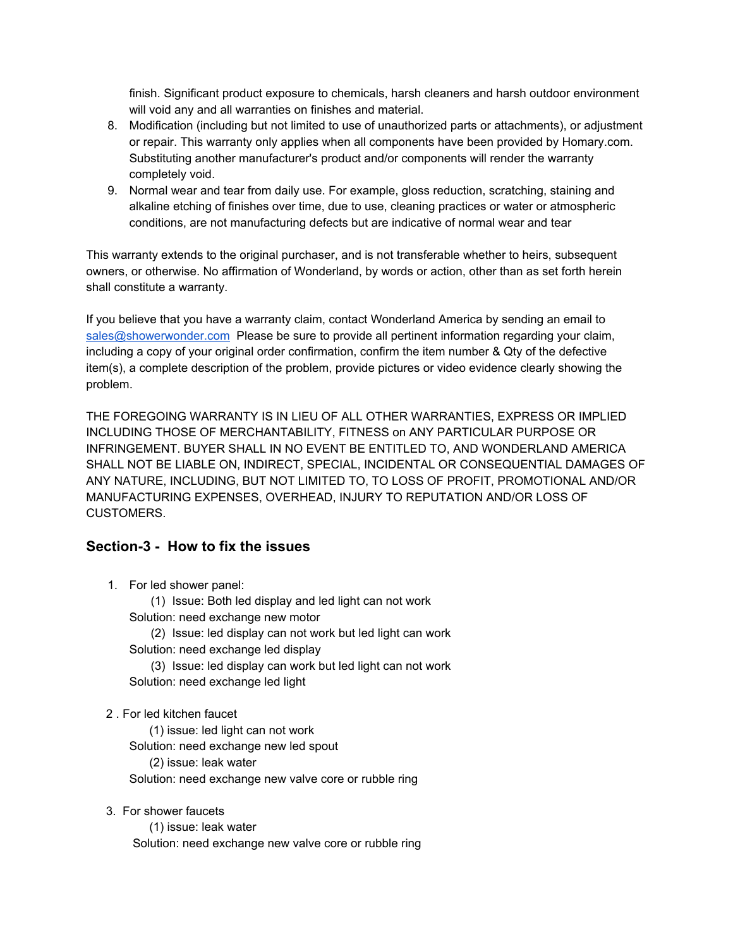finish. Significant product exposure to chemicals, harsh cleaners and harsh outdoor environment will void any and all warranties on finishes and material.

- 8. Modification (including but not limited to use of unauthorized parts or attachments), or adjustment or repair. This warranty only applies when all components have been provided by Homary.com. Substituting another manufacturer's product and/or components will render the warranty completely void.
- 9. Normal wear and tear from daily use. For example, gloss reduction, scratching, staining and alkaline etching of finishes over time, due to use, cleaning practices or water or atmospheric conditions, are not manufacturing defects but are indicative of normal wear and tear

This warranty extends to the original purchaser, and is not transferable whether to heirs, subsequent owners, or otherwise. No affirmation of Wonderland, by words or action, other than as set forth herein shall constitute a warranty.

If you believe that you have a warranty claim, contact Wonderland America by sending an email to [sales@showerwonder.com](mailto:sales@showerwonder.com) Please be sure to provide all pertinent information regarding your claim, including a copy of your original order confirmation, confirm the item number & Qty of the defective item(s), a complete description of the problem, provide pictures or video evidence clearly showing the problem.

THE FOREGOING WARRANTY IS IN LIEU OF ALL OTHER WARRANTIES, EXPRESS OR IMPLIED INCLUDING THOSE OF MERCHANTABILITY, FITNESS on ANY PARTICULAR PURPOSE OR INFRINGEMENT. BUYER SHALL IN NO EVENT BE ENTITLED TO, AND WONDERLAND AMERICA SHALL NOT BE LIABLE ON, INDIRECT, SPECIAL, INCIDENTAL OR CONSEQUENTIAL DAMAGES OF ANY NATURE, INCLUDING, BUT NOT LIMITED TO, TO LOSS OF PROFIT, PROMOTIONAL AND/OR MANUFACTURING EXPENSES, OVERHEAD, INJURY TO REPUTATION AND/OR LOSS OF CUSTOMERS.

#### **Section-3 - How to fix the issues**

1. For led shower panel:

(1) Issue: Both led display and led light can not work Solution: need exchange new motor

(2) Issue: led display can not work but led light can work Solution: need exchange led display

(3) Issue: led display can work but led light can not work Solution: need exchange led light

2 . For led kitchen faucet

(1) issue: led light can not work

Solution: need exchange new led spout

(2) issue: leak water

Solution: need exchange new valve core or rubble ring

3. For shower faucets

(1) issue: leak water Solution: need exchange new valve core or rubble ring